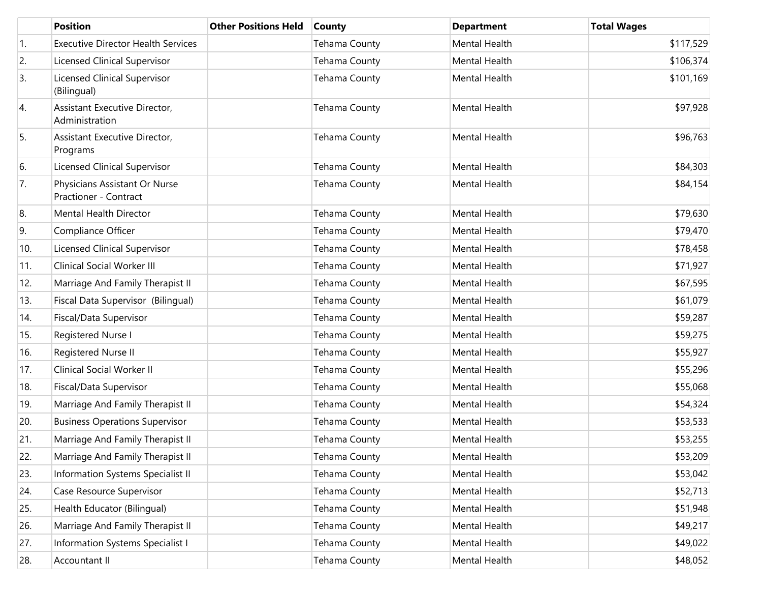|     | <b>Position</b>                                        | <b>Other Positions Held</b> | <b>County</b>        | <b>Department</b>    | <b>Total Wages</b> |
|-----|--------------------------------------------------------|-----------------------------|----------------------|----------------------|--------------------|
| 1.  | <b>Executive Director Health Services</b>              |                             | Tehama County        | Mental Health        | \$117,529          |
| 2.  | Licensed Clinical Supervisor                           |                             | <b>Tehama County</b> | Mental Health        | \$106,374          |
| 3.  | Licensed Clinical Supervisor<br>(Bilingual)            |                             | Tehama County        | <b>Mental Health</b> | \$101,169          |
| 4.  | Assistant Executive Director,<br>Administration        |                             | Tehama County        | <b>Mental Health</b> | \$97,928           |
| 5.  | Assistant Executive Director,<br>Programs              |                             | Tehama County        | <b>Mental Health</b> | \$96,763           |
| 6.  | Licensed Clinical Supervisor                           |                             | <b>Tehama County</b> | <b>Mental Health</b> | \$84,303           |
| 7.  | Physicians Assistant Or Nurse<br>Practioner - Contract |                             | Tehama County        | <b>Mental Health</b> | \$84,154           |
| 8.  | Mental Health Director                                 |                             | <b>Tehama County</b> | <b>Mental Health</b> | \$79,630           |
| 9.  | Compliance Officer                                     |                             | <b>Tehama County</b> | Mental Health        | \$79,470           |
| 10. | <b>Licensed Clinical Supervisor</b>                    |                             | <b>Tehama County</b> | Mental Health        | \$78,458           |
| 11. | Clinical Social Worker III                             |                             | Tehama County        | Mental Health        | \$71,927           |
| 12. | Marriage And Family Therapist II                       |                             | Tehama County        | Mental Health        | \$67,595           |
| 13. | Fiscal Data Supervisor (Bilingual)                     |                             | Tehama County        | Mental Health        | \$61,079           |
| 14. | Fiscal/Data Supervisor                                 |                             | <b>Tehama County</b> | Mental Health        | \$59,287           |
| 15. | Registered Nurse I                                     |                             | <b>Tehama County</b> | Mental Health        | \$59,275           |
| 16. | Registered Nurse II                                    |                             | <b>Tehama County</b> | Mental Health        | \$55,927           |
| 17. | Clinical Social Worker II                              |                             | Tehama County        | Mental Health        | \$55,296           |
| 18. | Fiscal/Data Supervisor                                 |                             | <b>Tehama County</b> | Mental Health        | \$55,068           |
| 19. | Marriage And Family Therapist II                       |                             | Tehama County        | Mental Health        | \$54,324           |
| 20. | <b>Business Operations Supervisor</b>                  |                             | <b>Tehama County</b> | Mental Health        | \$53,533           |
| 21. | Marriage And Family Therapist II                       |                             | Tehama County        | Mental Health        | \$53,255           |
| 22. | Marriage And Family Therapist II                       |                             | Tehama County        | Mental Health        | \$53,209           |
| 23. | Information Systems Specialist II                      |                             | <b>Tehama County</b> | Mental Health        | \$53,042           |
| 24. | Case Resource Supervisor                               |                             | <b>Tehama County</b> | Mental Health        | \$52,713           |
| 25. | Health Educator (Bilingual)                            |                             | Tehama County        | Mental Health        | \$51,948           |
| 26. | Marriage And Family Therapist II                       |                             | <b>Tehama County</b> | Mental Health        | \$49,217           |
| 27. | Information Systems Specialist I                       |                             | Tehama County        | Mental Health        | \$49,022           |
| 28. | Accountant II                                          |                             | <b>Tehama County</b> | Mental Health        | \$48,052           |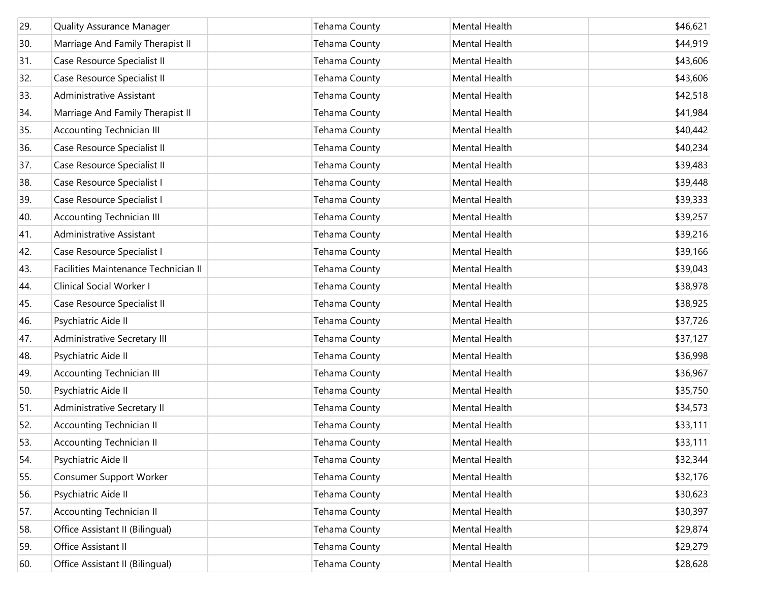| 29. | <b>Quality Assurance Manager</b>     | Tehama County | <b>Mental Health</b> | \$46,621 |
|-----|--------------------------------------|---------------|----------------------|----------|
| 30. | Marriage And Family Therapist II     | Tehama County | <b>Mental Health</b> | \$44,919 |
| 31. | Case Resource Specialist II          | Tehama County | Mental Health        | \$43,606 |
| 32. | Case Resource Specialist II          | Tehama County | Mental Health        | \$43,606 |
| 33. | Administrative Assistant             | Tehama County | Mental Health        | \$42,518 |
| 34. | Marriage And Family Therapist II     | Tehama County | Mental Health        | \$41,984 |
| 35. | <b>Accounting Technician III</b>     | Tehama County | Mental Health        | \$40,442 |
| 36. | Case Resource Specialist II          | Tehama County | Mental Health        | \$40,234 |
| 37. | Case Resource Specialist II          | Tehama County | Mental Health        | \$39,483 |
| 38. | Case Resource Specialist I           | Tehama County | Mental Health        | \$39,448 |
| 39. | Case Resource Specialist I           | Tehama County | Mental Health        | \$39,333 |
| 40. | <b>Accounting Technician III</b>     | Tehama County | Mental Health        | \$39,257 |
| 41. | Administrative Assistant             | Tehama County | Mental Health        | \$39,216 |
| 42. | Case Resource Specialist I           | Tehama County | Mental Health        | \$39,166 |
| 43. | Facilities Maintenance Technician II | Tehama County | Mental Health        | \$39,043 |
| 44. | Clinical Social Worker I             | Tehama County | <b>Mental Health</b> | \$38,978 |
| 45. | Case Resource Specialist II          | Tehama County | Mental Health        | \$38,925 |
| 46. | Psychiatric Aide II                  | Tehama County | Mental Health        | \$37,726 |
| 47. | Administrative Secretary III         | Tehama County | Mental Health        | \$37,127 |
| 48. | Psychiatric Aide II                  | Tehama County | Mental Health        | \$36,998 |
| 49. | <b>Accounting Technician III</b>     | Tehama County | Mental Health        | \$36,967 |
| 50. | Psychiatric Aide II                  | Tehama County | Mental Health        | \$35,750 |
| 51. | Administrative Secretary II          | Tehama County | Mental Health        | \$34,573 |
| 52. | <b>Accounting Technician II</b>      | Tehama County | Mental Health        | \$33,111 |
| 53. | <b>Accounting Technician II</b>      | Tehama County | Mental Health        | \$33,111 |
| 54. | Psychiatric Aide II                  | Tehama County | Mental Health        | \$32,344 |
| 55. | <b>Consumer Support Worker</b>       | Tehama County | Mental Health        | \$32,176 |
| 56. | Psychiatric Aide II                  | Tehama County | Mental Health        | \$30,623 |
| 57. | <b>Accounting Technician II</b>      | Tehama County | Mental Health        | \$30,397 |
| 58. | Office Assistant II (Bilingual)      | Tehama County | Mental Health        | \$29,874 |
| 59. | Office Assistant II                  | Tehama County | Mental Health        | \$29,279 |
| 60. | Office Assistant II (Bilingual)      | Tehama County | Mental Health        | \$28,628 |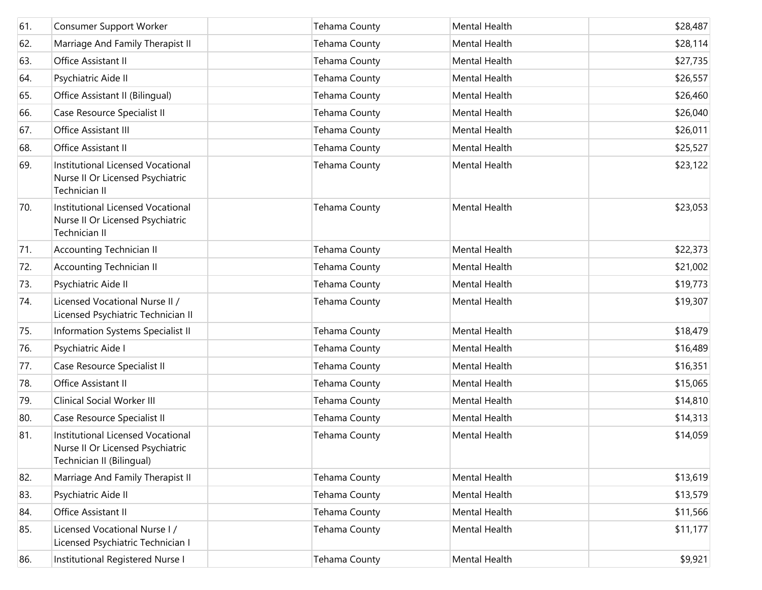| 61. | Consumer Support Worker                                                                            | Tehama County        | Mental Health        | \$28,487 |
|-----|----------------------------------------------------------------------------------------------------|----------------------|----------------------|----------|
| 62. | Marriage And Family Therapist II                                                                   | Tehama County        | Mental Health        | \$28,114 |
| 63. | Office Assistant II                                                                                | Tehama County        | Mental Health        | \$27,735 |
| 64. | Psychiatric Aide II                                                                                | Tehama County        | Mental Health        | \$26,557 |
| 65. | Office Assistant II (Bilingual)                                                                    | <b>Tehama County</b> | Mental Health        | \$26,460 |
| 66. | Case Resource Specialist II                                                                        | Tehama County        | Mental Health        | \$26,040 |
| 67. | Office Assistant III                                                                               | <b>Tehama County</b> | Mental Health        | \$26,011 |
| 68. | Office Assistant II                                                                                | Tehama County        | Mental Health        | \$25,527 |
| 69. | Institutional Licensed Vocational<br>Nurse II Or Licensed Psychiatric<br>Technician II             | Tehama County        | <b>Mental Health</b> | \$23,122 |
| 70. | Institutional Licensed Vocational<br>Nurse II Or Licensed Psychiatric<br>Technician II             | Tehama County        | <b>Mental Health</b> | \$23,053 |
| 71. | <b>Accounting Technician II</b>                                                                    | Tehama County        | <b>Mental Health</b> | \$22,373 |
| 72. | <b>Accounting Technician II</b>                                                                    | Tehama County        | Mental Health        | \$21,002 |
| 73. | Psychiatric Aide II                                                                                | <b>Tehama County</b> | Mental Health        | \$19,773 |
| 74. | Licensed Vocational Nurse II /<br>Licensed Psychiatric Technician II                               | Tehama County        | Mental Health        | \$19,307 |
| 75. | Information Systems Specialist II                                                                  | <b>Tehama County</b> | <b>Mental Health</b> | \$18,479 |
| 76. | Psychiatric Aide I                                                                                 | Tehama County        | Mental Health        | \$16,489 |
| 77. | Case Resource Specialist II                                                                        | Tehama County        | Mental Health        | \$16,351 |
| 78. | Office Assistant II                                                                                | Tehama County        | Mental Health        | \$15,065 |
| 79. | Clinical Social Worker III                                                                         | Tehama County        | Mental Health        | \$14,810 |
| 80. | Case Resource Specialist II                                                                        | Tehama County        | Mental Health        | \$14,313 |
| 81. | Institutional Licensed Vocational<br>Nurse II Or Licensed Psychiatric<br>Technician II (Bilingual) | Tehama County        | <b>Mental Health</b> | \$14,059 |
| 82. | Marriage And Family Therapist II                                                                   | <b>Tehama County</b> | Mental Health        | \$13,619 |
| 83. | Psychiatric Aide II                                                                                | Tehama County        | Mental Health        | \$13,579 |
| 84. | Office Assistant II                                                                                | Tehama County        | Mental Health        | \$11,566 |
| 85. | Licensed Vocational Nurse I /<br>Licensed Psychiatric Technician I                                 | Tehama County        | Mental Health        | \$11,177 |
| 86. | Institutional Registered Nurse I                                                                   | Tehama County        | Mental Health        | \$9,921  |